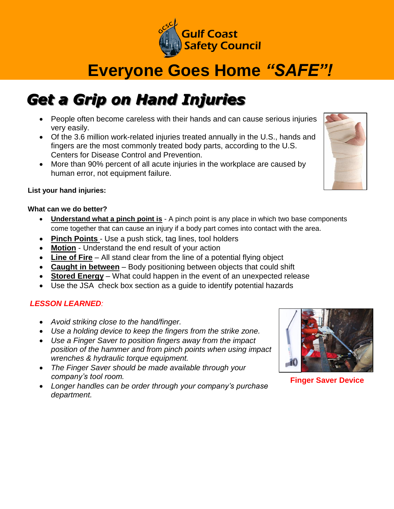

# **Everyone Goes Home** *"SAFE"!*

## *Get a Grip on Hand Injuries*

- People often become careless with their hands and can cause serious injuries very easily.
- Of the 3.6 million work-related injuries treated annually in the U.S., hands and fingers are the most commonly treated body parts, according to the U.S. Centers for Disease Control and Prevention.
- More than 90% percent of all acute injuries in the workplace are caused by human error, not equipment failure.

#### **List your hand injuries:**

#### **What can we do better?**

- **Understand what a pinch point is** A pinch point is any place in which two base components come together that can cause an injury if a body part comes into contact with the area.
- **Pinch Points**  Use a push stick, tag lines, tool holders
- **Motion** Understand the end result of your action
- **Line of Fire** All stand clear from the line of a potential flying object
- **Caught in between** Body positioning between objects that could shift
- **Stored Energy** What could happen in the event of an unexpected release
- Use the JSA check box section as a guide to identify potential hazards

## *LESSON LEARNED:*

- *Avoid striking close to the hand/finger.*
- *Use a holding device to keep the fingers from the strike zone.*
- *Use a Finger Saver to position fingers away from the impact position of the hammer and from pinch points when using impact wrenches & hydraulic torque equipment.*
- *The Finger Saver should be made available through your company's tool room.*
- *Longer handles can be order through your company's purchase department.*



**Finger Saver Device**

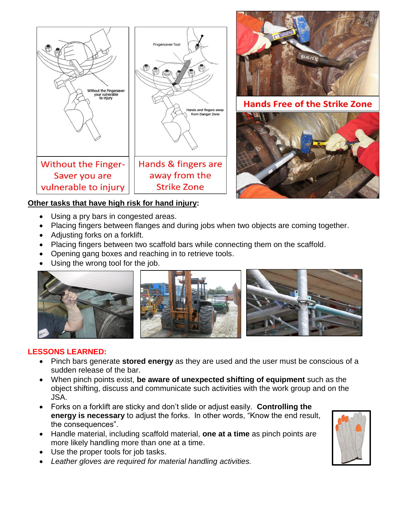



ds Free of the Strike Zone



## **Other tasks that have high risk for hand injury:**

- Using a pry bars in congested areas.
- Placing fingers between flanges and during jobs when two objects are coming together.
- Adjusting forks on a forklift.
- Placing fingers between two scaffold bars while connecting them on the scaffold.
- Opening gang boxes and reaching in to retrieve tools.
- Using the wrong tool for the job.



## **LESSONS LEARNED:**

- Pinch bars generate **stored energy** as they are used and the user must be conscious of a sudden release of the bar.
- When pinch points exist, **be aware of unexpected shifting of equipment** such as the object shifting, discuss and communicate such activities with the work group and on the JSA.
- Forks on a forklift are sticky and don't slide or adjust easily. **Controlling the energy is necessary** to adjust the forks. In other words, "Know the end result, the consequences".
- Handle material, including scaffold material, **one at a time** as pinch points are more likely handling more than one at a time.
- Use the proper tools for job tasks.
- *Leather gloves are required for material handling activities.*